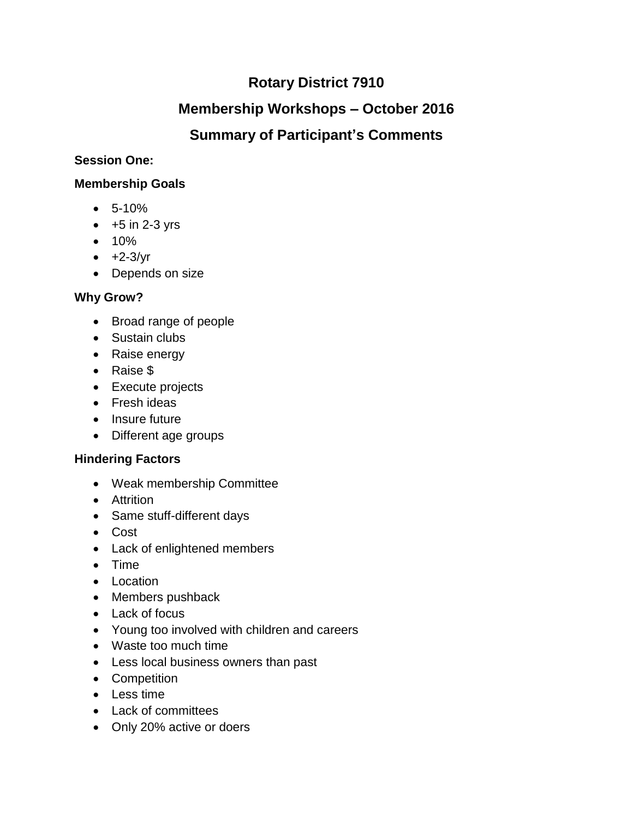# **Rotary District 7910**

# **Membership Workshops – October 2016**

# **Summary of Participant's Comments**

### **Session One:**

### **Membership Goals**

- 5-10%
- $\bullet$  +5 in 2-3 yrs
- $10%$
- $\bullet +2-3/yr$
- Depends on size

# **Why Grow?**

- Broad range of people
- Sustain clubs
- Raise energy
- Raise \$
- Execute projects
- Fresh ideas
- Insure future
- Different age groups

# **Hindering Factors**

- Weak membership Committee
- Attrition
- Same stuff-different days
- Cost
- Lack of enlightened members
- Time
- Location
- Members pushback
- Lack of focus
- Young too involved with children and careers
- Waste too much time
- Less local business owners than past
- Competition
- Less time
- Lack of committees
- Only 20% active or doers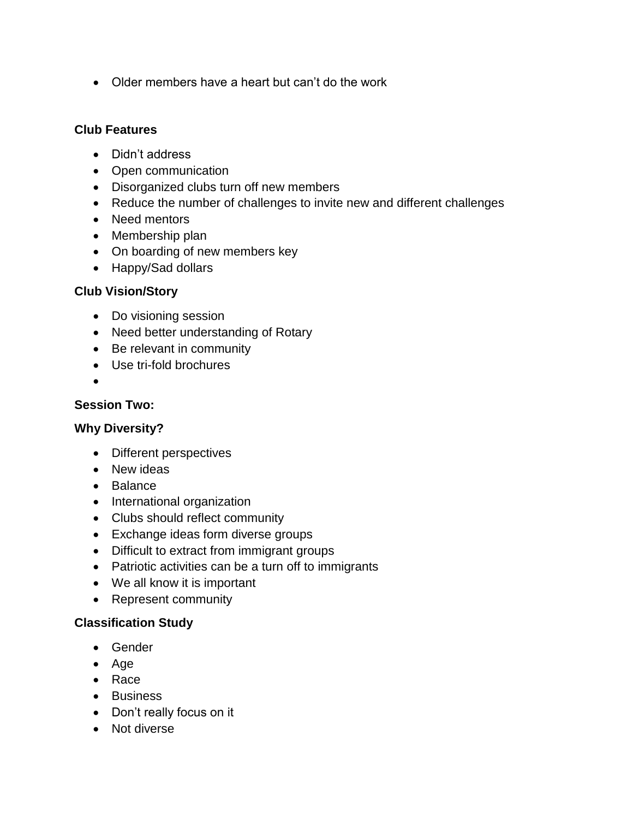Older members have a heart but can't do the work

#### **Club Features**

- Didn't address
- Open communication
- Disorganized clubs turn off new members
- Reduce the number of challenges to invite new and different challenges
- Need mentors
- Membership plan
- On boarding of new members key
- Happy/Sad dollars

#### **Club Vision/Story**

- Do visioning session
- Need better understanding of Rotary
- Be relevant in community
- Use tri-fold brochures
- $\bullet$

#### **Session Two:**

#### **Why Diversity?**

- Different perspectives
- New ideas
- Balance
- International organization
- Clubs should reflect community
- Exchange ideas form diverse groups
- Difficult to extract from immigrant groups
- Patriotic activities can be a turn off to immigrants
- We all know it is important
- Represent community

#### **Classification Study**

- Gender
- Age
- Race
- Business
- Don't really focus on it
- Not diverse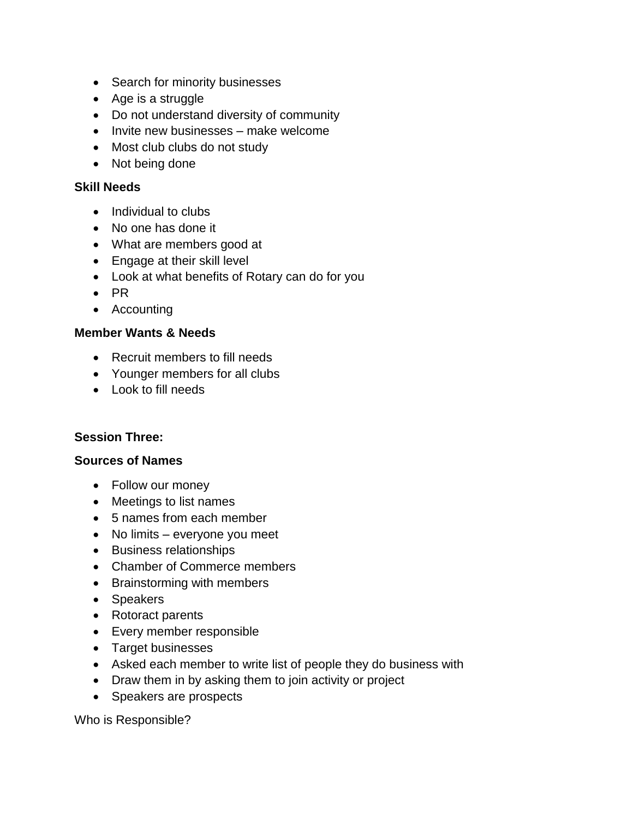- Search for minority businesses
- Age is a struggle
- Do not understand diversity of community
- Invite new businesses make welcome
- Most club clubs do not study
- Not being done

#### **Skill Needs**

- Individual to clubs
- No one has done it
- What are members good at
- Engage at their skill level
- Look at what benefits of Rotary can do for you
- $\bullet$  PR
- Accounting

#### **Member Wants & Needs**

- Recruit members to fill needs
- Younger members for all clubs
- Look to fill needs

#### **Session Three:**

#### **Sources of Names**

- Follow our money
- Meetings to list names
- 5 names from each member
- No limits everyone you meet
- Business relationships
- Chamber of Commerce members
- Brainstorming with members
- Speakers
- Rotoract parents
- Every member responsible
- Target businesses
- Asked each member to write list of people they do business with
- Draw them in by asking them to join activity or project
- Speakers are prospects

Who is Responsible?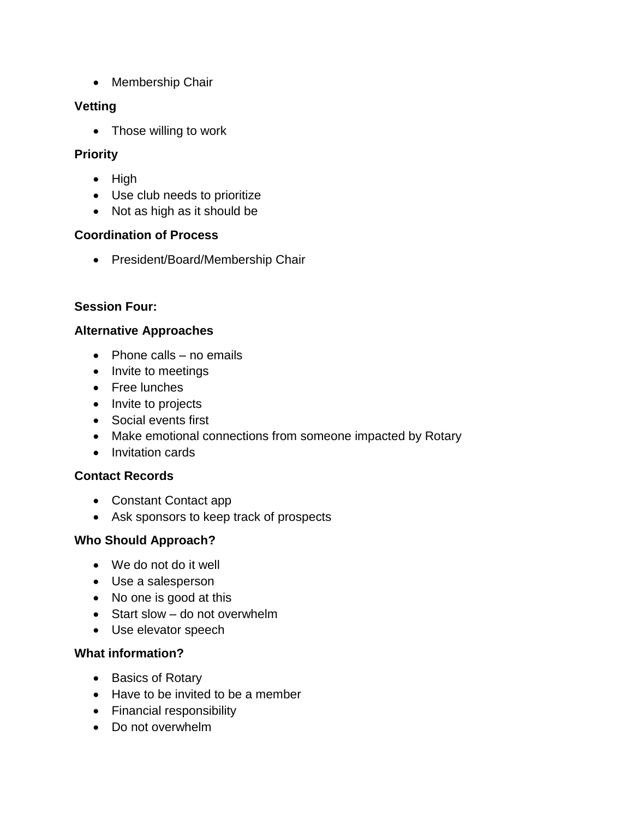• Membership Chair

## **Vetting**

• Those willing to work

### **Priority**

- $\bullet$  High
- Use club needs to prioritize
- Not as high as it should be

## **Coordination of Process**

• President/Board/Membership Chair

# **Session Four:**

## **Alternative Approaches**

- $\bullet$  Phone calls no emails
- Invite to meetings
- Free lunches
- Invite to projects
- Social events first
- Make emotional connections from someone impacted by Rotary
- Invitation cards

## **Contact Records**

- Constant Contact app
- Ask sponsors to keep track of prospects

## **Who Should Approach?**

- We do not do it well
- Use a salesperson
- No one is good at this
- Start slow do not overwhelm
- Use elevator speech

## **What information?**

- Basics of Rotary
- Have to be invited to be a member
- Financial responsibility
- Do not overwhelm